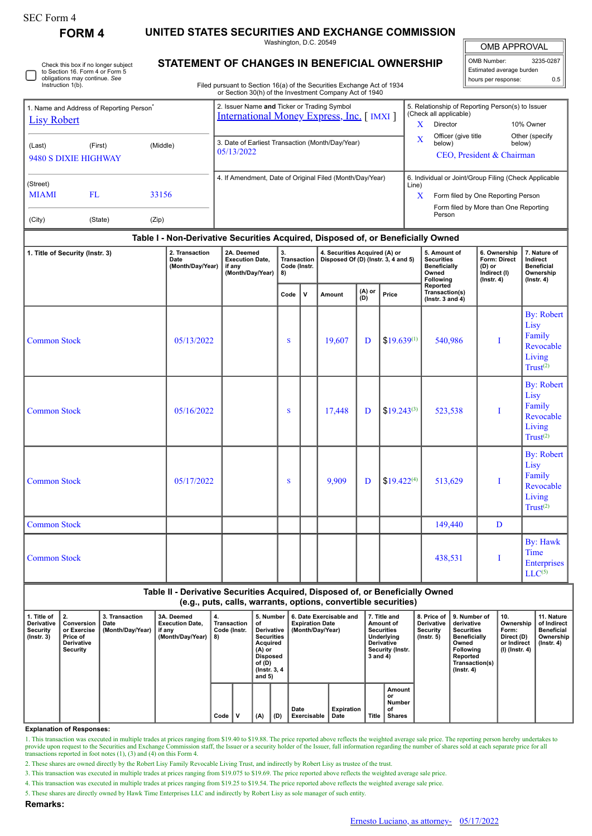| SEC Form 4 |
|------------|
|------------|

**FORM 4 UNITED STATES SECURITIES AND EXCHANGE COMMISSION**

Washington, D.C. 20549

OMB APPROVAL

Ш

| OMB Number:              | 3235-0287 |
|--------------------------|-----------|
| Estimated average burden |           |
| hours per response:      | 0.5       |

Check this box if no longer subject to Section 16. Form 4 or Form 5 obligations may continue. *See* Instruction 1(b).

## **STATEMENT OF CHANGES IN BENEFICIAL OWNERSHIP**

Filed pursuant to Section 16(a) of the Securities Exchange Act of 1934 or Section 30(h) of the Investment Company Act of 1940

|                                 |                                                      |          |                                                                                                | or Section So(ii) or the investment Company Act or 1940                          |                                                |   |                                                                      |                                                                            |                                                 |                                                                         |                                                                           |                                                                                    |  |  |
|---------------------------------|------------------------------------------------------|----------|------------------------------------------------------------------------------------------------|----------------------------------------------------------------------------------|------------------------------------------------|---|----------------------------------------------------------------------|----------------------------------------------------------------------------|-------------------------------------------------|-------------------------------------------------------------------------|---------------------------------------------------------------------------|------------------------------------------------------------------------------------|--|--|
|                                 | 1. Name and Address of Reporting Person <sup>®</sup> |          | 2. Issuer Name and Ticker or Trading Symbol<br><b>International Money Express, Inc.</b> [IMXI] |                                                                                  |                                                |   |                                                                      | 5. Relationship of Reporting Person(s) to Issuer<br>(Check all applicable) |                                                 |                                                                         |                                                                           |                                                                                    |  |  |
| <b>Lisy Robert</b>              |                                                      |          |                                                                                                |                                                                                  |                                                |   |                                                                      | X<br>Director                                                              |                                                 | 10% Owner                                                               |                                                                           |                                                                                    |  |  |
| (Last)                          | (First)                                              | (Middle) |                                                                                                | 3. Date of Earliest Transaction (Month/Day/Year)<br>05/13/2022                   |                                                |   |                                                                      |                                                                            | Officer (give title<br>X<br>below)              |                                                                         | Other (specify<br>below)                                                  |                                                                                    |  |  |
| 9480 S DIXIE HIGHWAY            |                                                      |          |                                                                                                |                                                                                  |                                                |   |                                                                      |                                                                            | CEO, President & Chairman                       |                                                                         |                                                                           |                                                                                    |  |  |
| (Street)                        |                                                      |          | 4. If Amendment, Date of Original Filed (Month/Day/Year)                                       |                                                                                  |                                                |   |                                                                      | 6. Individual or Joint/Group Filing (Check Applicable<br>Line)             |                                                 |                                                                         |                                                                           |                                                                                    |  |  |
| <b>MIAMI</b>                    | FL                                                   | 33156    |                                                                                                |                                                                                  |                                                |   |                                                                      |                                                                            |                                                 | X<br>Form filed by One Reporting Person                                 |                                                                           |                                                                                    |  |  |
| (City)                          | (State)                                              | (Zip)    |                                                                                                |                                                                                  |                                                |   |                                                                      |                                                                            | Form filed by More than One Reporting<br>Person |                                                                         |                                                                           |                                                                                    |  |  |
|                                 |                                                      |          |                                                                                                | Table I - Non-Derivative Securities Acquired, Disposed of, or Beneficially Owned |                                                |   |                                                                      |                                                                            |                                                 |                                                                         |                                                                           |                                                                                    |  |  |
| 1. Title of Security (Instr. 3) |                                                      |          | 2. Transaction<br>Date<br>(Month/Day/Year)                                                     | 2A. Deemed<br><b>Execution Date,</b><br>if any<br>(Month/Day/Year)               | 3.<br><b>Transaction</b><br>Code (Instr.<br>8) |   | 4. Securities Acquired (A) or<br>Disposed Of (D) (Instr. 3, 4 and 5) |                                                                            |                                                 | 5. Amount of<br><b>Securities</b><br>Beneficially<br>Owned<br>Following | 6. Ownership<br>Form: Direct<br>$(D)$ or<br>Indirect (I)<br>$($ Instr. 4) | 7. Nature of<br>Indirect<br><b>Beneficial</b><br>Ownership<br>$($ Instr. 4 $)$     |  |  |
|                                 |                                                      |          |                                                                                                |                                                                                  | Code                                           | v | Amount                                                               | $(A)$ or<br>(D)                                                            | Price                                           | Reported<br>Transaction(s)<br>(lnstr. $3$ and $4$ )                     |                                                                           |                                                                                    |  |  |
| <b>Common Stock</b>             |                                                      |          | 05/13/2022                                                                                     |                                                                                  | S                                              |   | 19,607                                                               | D                                                                          | $$19.639^{(1)}$                                 | 540,986                                                                 | T                                                                         | <b>By: Robert</b><br>Lisy<br>Family<br>Revocable<br>Living<br>Trust <sup>(2)</sup> |  |  |
| <b>Common Stock</b>             |                                                      |          | 05/16/2022                                                                                     |                                                                                  | S                                              |   | 17,448                                                               | D                                                                          | $$19.243^{(3)}$                                 | 523,538                                                                 | T                                                                         | <b>By: Robert</b><br>Lisy<br>Family<br>Revocable<br>Living<br>Trust <sup>(2)</sup> |  |  |
|                                 |                                                      |          |                                                                                                |                                                                                  |                                                |   |                                                                      |                                                                            |                                                 |                                                                         |                                                                           | By: Robert                                                                         |  |  |

| <b>Common Stock</b> | 05/17/2022 | <sup>S</sup> | 9,909 | D | $ $19.422^{(4)}$$ | 513,629 |   | <b>By:</b> Robert<br>Lisy<br>Family<br>Revocable<br>Living<br>Trust <sup>(2)</sup> |
|---------------------|------------|--------------|-------|---|-------------------|---------|---|------------------------------------------------------------------------------------|
| <b>Common Stock</b> |            |              |       |   |                   | 149,440 | D |                                                                                    |
| <b>Common Stock</b> |            |              |       |   |                   | 438,531 |   | By: Hawk<br>Time<br>Enterprises<br>$LLC^{(5)}$                                     |

**Table II - Derivative Securities Acquired, Disposed of, or Beneficially Owned (e.g., puts, calls, warrants, options, convertible securities)**

| 1. Title of<br><b>Derivative</b><br>Security<br>$($ lnstr. 3 $)$ | I 2.<br>Conversion<br>or Exercise<br>Price of<br>Derivative<br>Security | 3. Transaction<br>Date<br>(Month/Day/Year) | 3A. Deemed<br><b>Execution Date.</b><br>, if any<br>(Month/Day/Year) | 4.<br>Transaction<br>Code (Instr.<br>8) | 5. Number<br>οf<br>Derivative<br>Acquired<br>(A) or<br>Disposed<br>of (D)<br>(Instr. 3, 4)<br>and 5) | <b>Securities</b> | 6. Date Exercisable and<br><b>Expiration Date</b><br>(Month/Day/Year) | 7. Title and<br>Amount of<br>Securities<br>Underlying<br><b>Derivative</b><br>Security (Instr.<br>3 and 4) |       | 8. Price of<br><b>Derivative</b><br>Security<br>$($ lnstr. 5 $)$ | 9. Number of<br>derivative<br><b>Securities</b><br><b>Beneficially</b><br>Owned<br><b>Following</b><br>Reported<br>Transaction(s)<br>$($ Instr. 4 $)$ | 10.<br>Ownership<br>Form:<br>Direct (D)<br>or Indirect<br>(I) (Instr. 4) | 11. Nature<br>of Indirect<br><b>Beneficial</b><br>Ownership<br>$($ lnstr. 4 $)$ |  |
|------------------------------------------------------------------|-------------------------------------------------------------------------|--------------------------------------------|----------------------------------------------------------------------|-----------------------------------------|------------------------------------------------------------------------------------------------------|-------------------|-----------------------------------------------------------------------|------------------------------------------------------------------------------------------------------------|-------|------------------------------------------------------------------|-------------------------------------------------------------------------------------------------------------------------------------------------------|--------------------------------------------------------------------------|---------------------------------------------------------------------------------|--|
|                                                                  |                                                                         |                                            |                                                                      | Code                                    | (A)                                                                                                  | (D)               | Date<br>Exercisable                                                   | Expiration<br>Date                                                                                         | Title | Amount<br>or<br>Number<br>of<br><b>Shares</b>                    |                                                                                                                                                       |                                                                          |                                                                                 |  |

**Explanation of Responses:**

1. This transaction was executed in multiple trades at prices ranging from \$19.40 to \$19.88. The price reported above reflects the weighted average sale price. The reporting person hereby undertakes to provide upon request transactions reported in foot notes (1), (3) and (4) on this Form 4.

2. These shares are owned directly by the Robert Lisy Family Revocable Living Trust, and indirectly by Robert Lisy as trustee of the trust.

3. This transaction was executed in multiple trades at prices ranging from \$19.075 to \$19.69. The price reported above reflects the weighted average sale price.

4. This transaction was executed in multiple trades at prices ranging from \$19.25 to \$19.54. The price reported above reflects the weighted average sale price.

5. These shares are directly owned by Hawk Time Enterprises LLC and indirectly by Robert Lisy as sole manager of such entity.

**Remarks:**